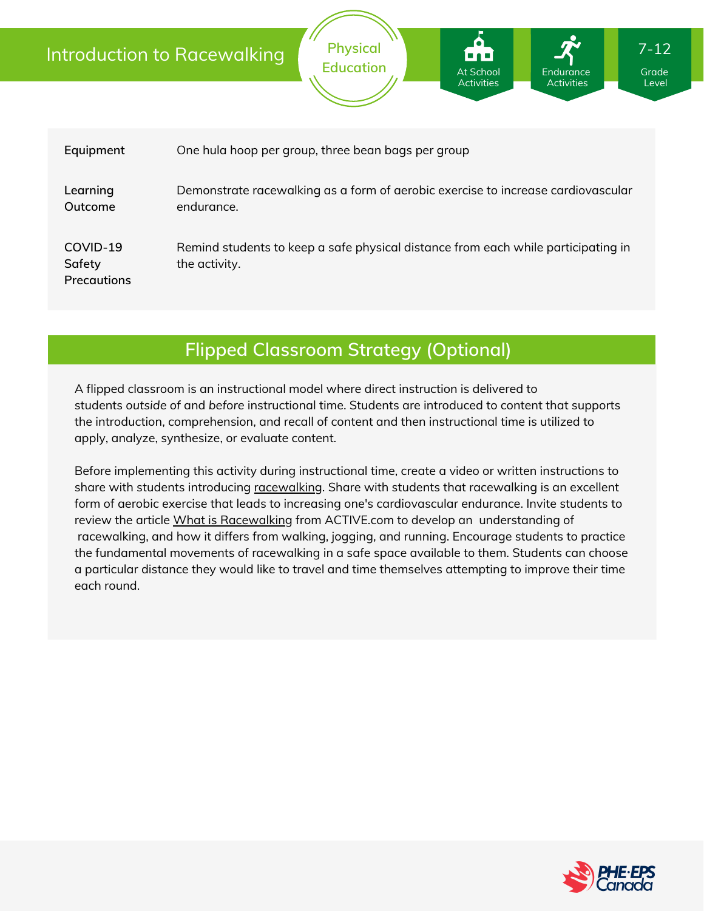|                                   | <b>Physical</b><br>$7 - 12$<br>Introduction to Racewalking<br><b>Education</b><br><b>At School</b><br>Endurance<br>Grade<br><b>Activities</b><br><b>Activities</b><br>Level |  |  |  |  |
|-----------------------------------|-----------------------------------------------------------------------------------------------------------------------------------------------------------------------------|--|--|--|--|
| Equipment                         | One hula hoop per group, three bean bags per group                                                                                                                          |  |  |  |  |
| Learning<br>Outcome               | Demonstrate racewalking as a form of aerobic exercise to increase cardiovascular<br>endurance.                                                                              |  |  |  |  |
| COVID-19<br>Safety<br>Precautions | Remind students to keep a safe physical distance from each while participating in<br>the activity.                                                                          |  |  |  |  |

# **Flipped Classroom Strategy (Optional)**

A flipped classroom is an instructional model where direct instruction is delivered to students *outside of* and *before* instructional time. Students are introduced to content that supports the introduction, comprehension, and recall of content and then instructional time is utilized to apply, analyze, synthesize, or evaluate content.

Before implementing this activity during instructional time, create a video or written instructions to share with students introducing [racewalking](https://www.youtube.com/watch?v=XvxrJx2JdSg&ab_channel=IanWhatley). Share with students that racewalking is an excellent form of aerobic exercise that leads to increasing one's cardiovascular endurance. Invite students to review the article What is [Racewalking](https://www.active.com/walking/articles/what-is-race-walking) from ACTIVE.com to develop an understanding of racewalking, and how it differs from walking, jogging, and running. Encourage students to practice the fundamental movements of racewalking in a safe space available to them. Students can choose a particular distance they would like to travel and time themselves attempting to improve their time each round.

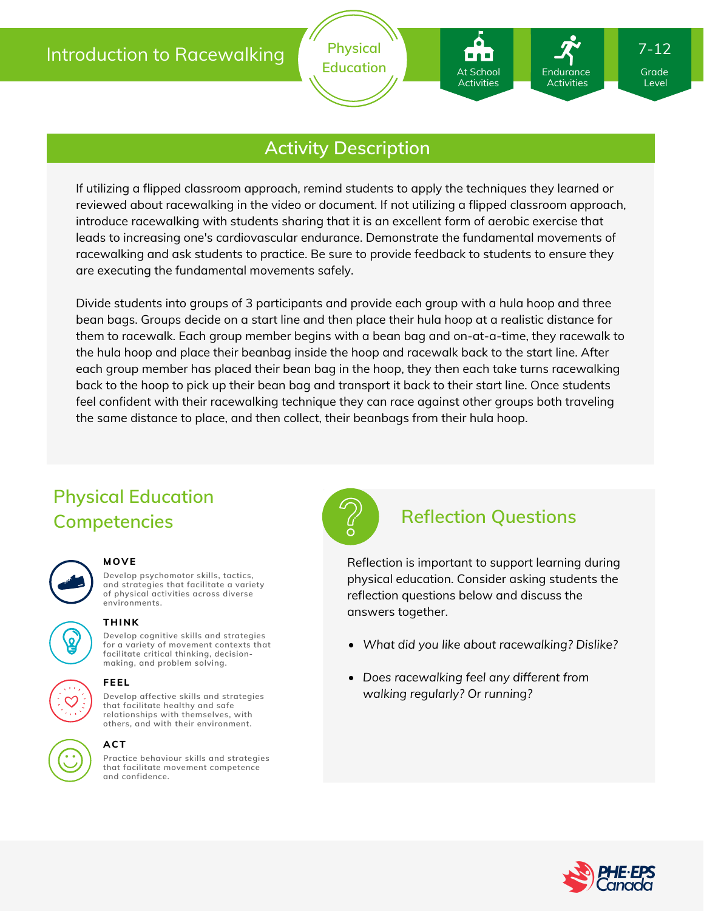

## **Activity Description**

If utilizing a flipped classroom approach, remind students to apply the techniques they learned or reviewed about racewalking in the video or document. If not utilizing a flipped classroom approach, introduce racewalking with students sharing that it is an excellent form of aerobic exercise that leads to increasing one's cardiovascular endurance. Demonstrate the fundamental movements of racewalking and ask students to practice. Be sure to provide feedback to students to ensure they are executing the fundamental movements safely.

Divide students into groups of 3 participants and provide each group with a hula hoop and three bean bags. Groups decide on a start line and then place their hula hoop at a realistic distance for them to racewalk. Each group member begins with a bean bag and on-at-a-time, they racewalk to the hula hoop and place their beanbag inside the hoop and racewalk back to the start line. After each group member has placed their bean bag in the hoop, they then each take turns racewalking back to the hoop to pick up their bean bag and transport it back to their start line. Once students feel confident with their racewalking technique they can race against other groups both traveling the same distance to place, and then collect, their beanbags from their hula hoop.

# **Physical Education Competencies Reflection Questions**



#### **MOVE**

**Develop psychomotor skills, tactics, and strategies that facilitate a variety of physical activities across diverse environments.**

# **THINK**

**Develop cognitive skills and strategies**

**for a variety of movement contexts that facilitate critical thinking, decision making, and problem solving.**

### **FEEL**

**Develop affective skills and strategies that facilitate healthy and safe relationships with themselves, with others, and with their environment.**

#### **ACT**

**Practice behaviour skills and strategies that facilitate movement competence and confidence.**



At School Activities

Endurance Activities

Reflection is important to support learning during physical education. Consider asking students the reflection questions below and discuss the answers together.

- *What did you like about racewalking? Dislike?*
- *Does racewalking feel any different from walking regularly? Or running?*



Level

7-12